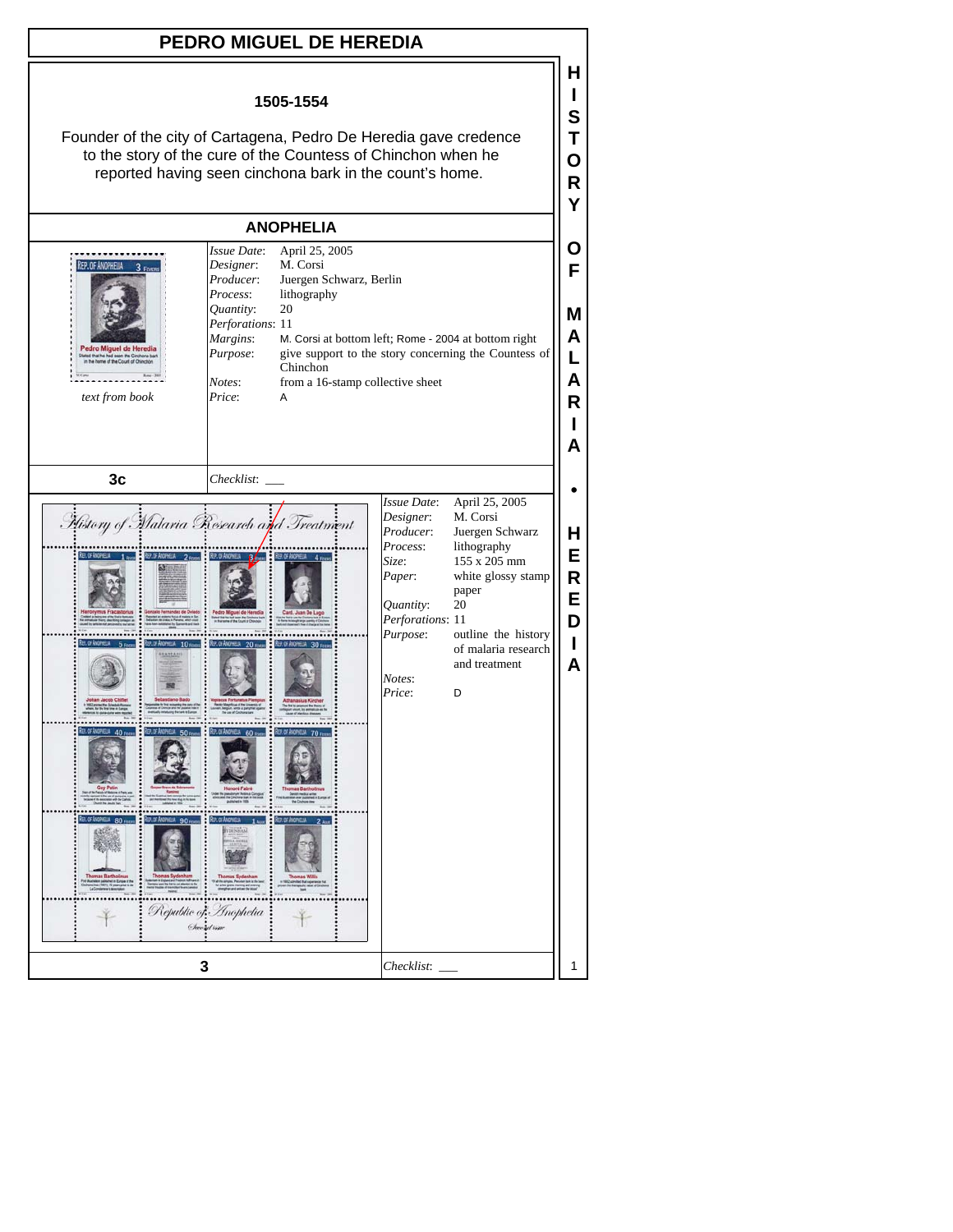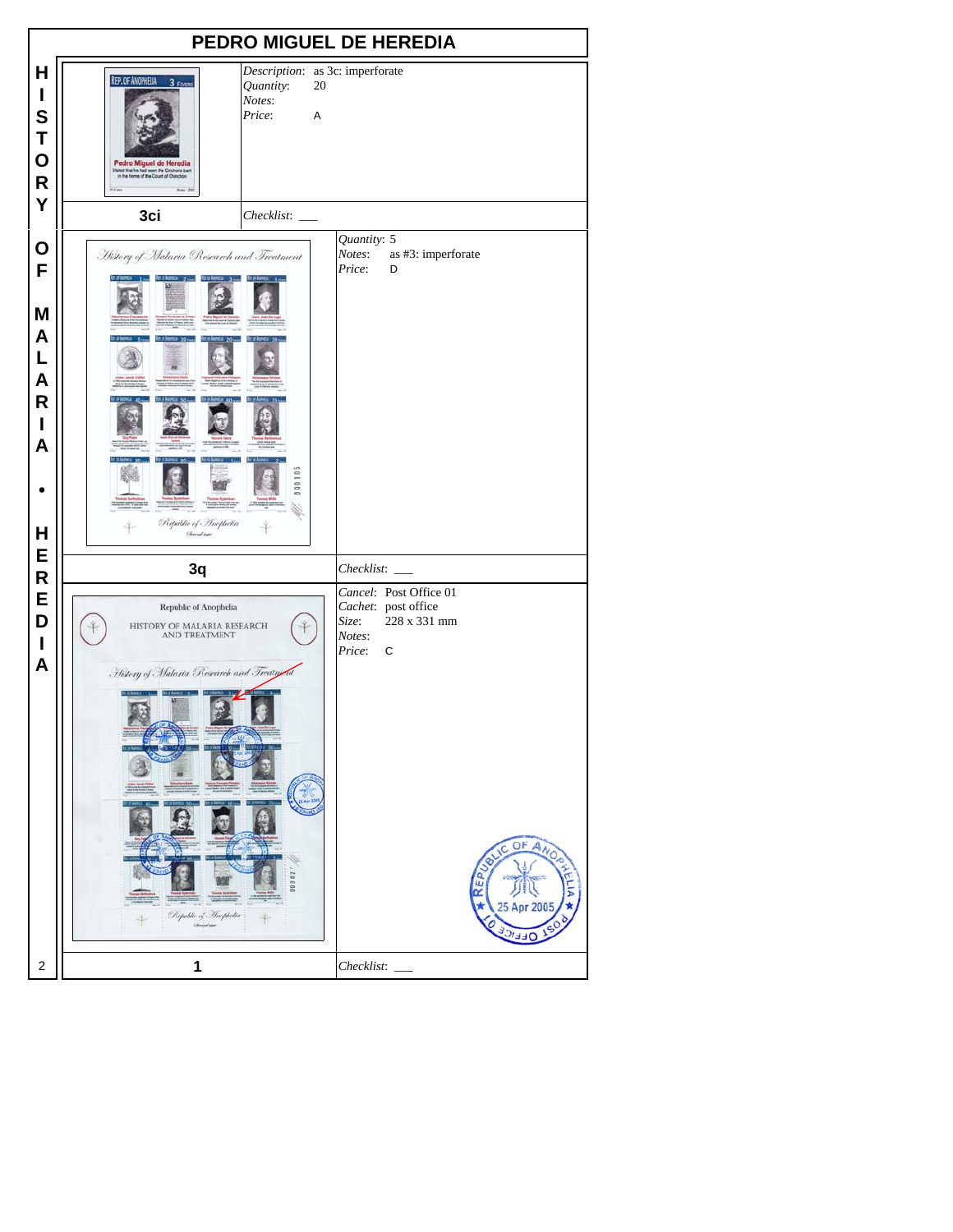| PEDRO MIGUEL DE HEREDIA                              |                                                                                                                                                                                                                                           |                                                                                                                                   |
|------------------------------------------------------|-------------------------------------------------------------------------------------------------------------------------------------------------------------------------------------------------------------------------------------------|-----------------------------------------------------------------------------------------------------------------------------------|
| Н<br>I<br>S<br>T<br>$\mathbf O$<br>$\mathsf{R}$<br>Y | Description: as 3c: imperforate<br>REP. OF ANOPHELIA<br>3 FIVERS<br>Quantity:<br>20<br>Notes:<br>Price:<br>$\overline{A}$<br>Pedro Miguel de Heredia<br>Stated that he had seen the Cinchona bark<br>In the home of the Count of Chinchon |                                                                                                                                   |
|                                                      | 3ci<br>Checklist:                                                                                                                                                                                                                         |                                                                                                                                   |
| O<br>F<br>M<br>A<br>L<br>A<br>$\mathsf{R}$<br>I<br>A | History of Malaria Research and Treatment<br>00000                                                                                                                                                                                        | Quantity: 5<br>Notes:<br>as #3: imperforate<br>Price:<br>D                                                                        |
| Н                                                    | Republic of Inophelia<br>Sheradian                                                                                                                                                                                                        |                                                                                                                                   |
| E<br>$\mathsf{R}$                                    | 3q                                                                                                                                                                                                                                        | Checklist:                                                                                                                        |
| E<br>D<br>I<br>A                                     | Republic of Anophelia<br>HISTORY OF MALARIA RESEARCH<br>AND TREATMENT<br>History of Malaria Research and Treatment<br>Republic of Anopholia<br>Chaindean                                                                                  | Cancel: Post Office 01<br>Cachet: post office<br>228 x 331 mm<br>Size:<br>Notes:<br>Price:<br>C<br>OF ANO<br>5 Apr 2005<br>'a a C |
| 2                                                    | 1                                                                                                                                                                                                                                         | Checklist:                                                                                                                        |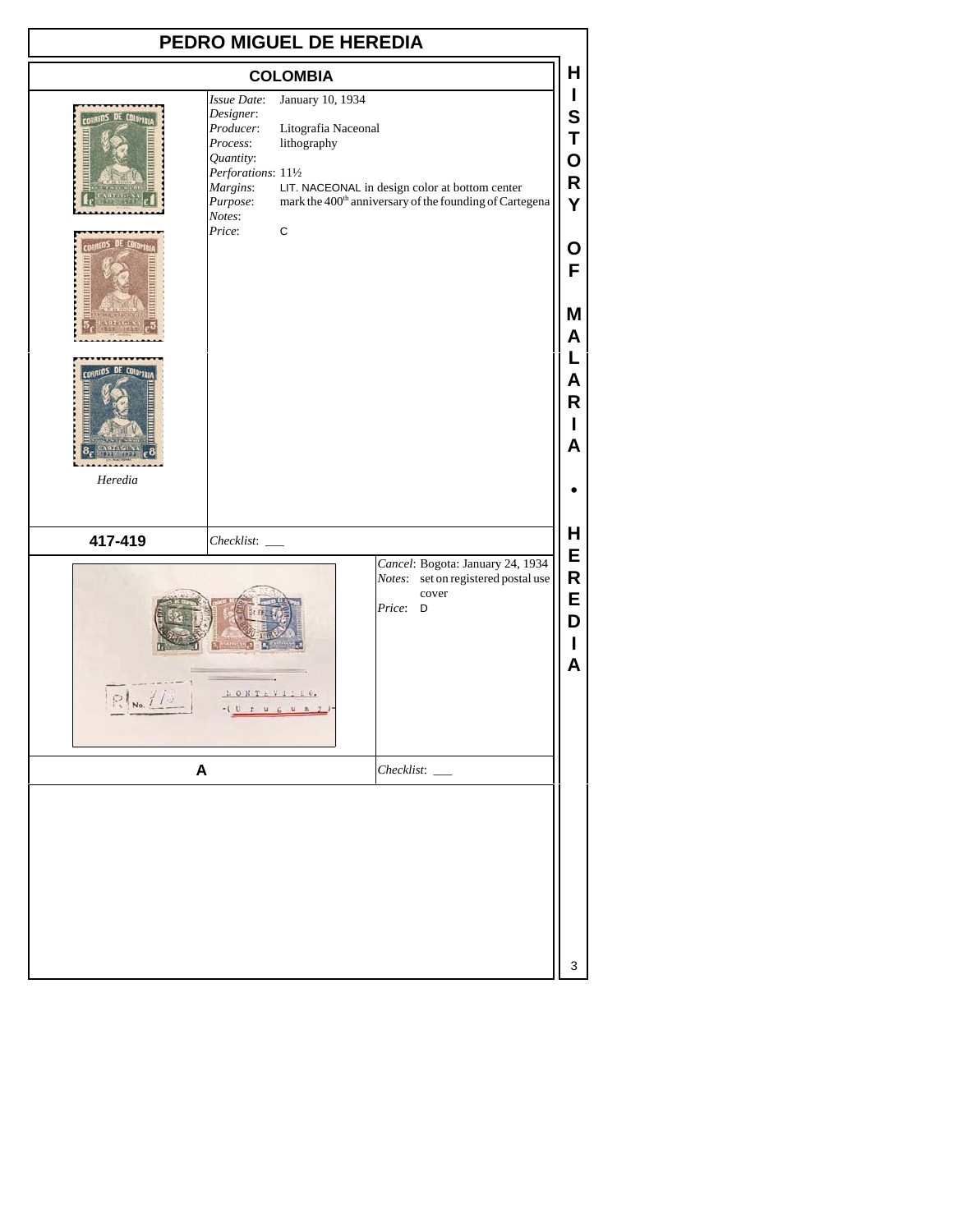